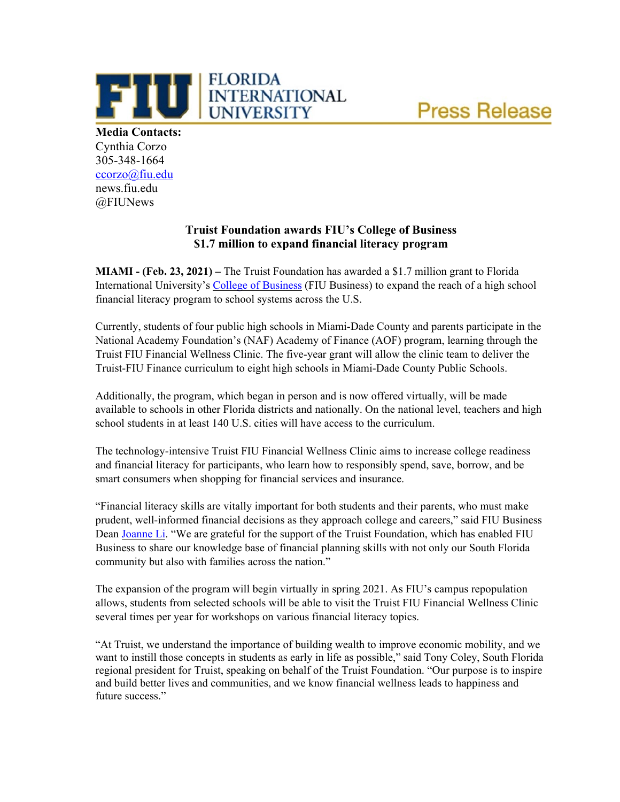

THE ELORIDA **Media Contacts:** Cynthia Corzo 305-348-1664 [ccorzo@fiu.edu](mailto:ccorzo@fiu.edu) news.fiu.edu @FIUNews

# **Truist Foundation awards FIU's College of Business \$1.7 million to expand financial literacy program**

**FLORIDA** 

**MIAMI - (Feb. 23, 2021) –** The Truist Foundation has awarded a \$1.7 million grant to Florida International University's [College of Business](https://business.fiu.edu/) (FIU Business) to expand the reach of a high school financial literacy program to school systems across the U.S.

Currently, students of four public high schools in Miami-Dade County and parents participate in the National Academy Foundation's (NAF) Academy of Finance (AOF) program, learning through the Truist FIU Financial Wellness Clinic. The five-year grant will allow the clinic team to deliver the Truist-FIU Finance curriculum to eight high schools in Miami-Dade County Public Schools.

Additionally, the program, which began in person and is now offered virtually, will be made available to schools in other Florida districts and nationally. On the national level, teachers and high school students in at least 140 U.S. cities will have access to the curriculum.

The technology-intensive Truist FIU Financial Wellness Clinic aims to increase college readiness and financial literacy for participants, who learn how to responsibly spend, save, borrow, and be smart consumers when shopping for financial services and insurance.

"Financial literacy skills are vitally important for both students and their parents, who must make prudent, well-informed financial decisions as they approach college and careers," said FIU Business Dean [Joanne Li.](https://business.fiu.edu/faculty/expert-guides.cfm?FlagDirectory=Display&EMP=lij) "We are grateful for the support of the Truist Foundation, which has enabled FIU Business to share our knowledge base of financial planning skills with not only our South Florida community but also with families across the nation."

The expansion of the program will begin virtually in spring 2021. As FIU's campus repopulation allows, students from selected schools will be able to visit the Truist FIU Financial Wellness Clinic several times per year for workshops on various financial literacy topics.

"At Truist, we understand the importance of building wealth to improve economic mobility, and we want to instill those concepts in students as early in life as possible," said Tony Coley, South Florida regional president for Truist, speaking on behalf of the Truist Foundation. "Our purpose is to inspire and build better lives and communities, and we know financial wellness leads to happiness and future success."